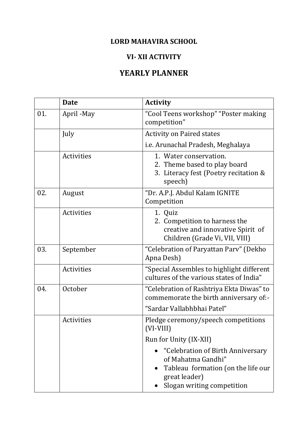## **LORD MAHAVIRA SCHOOL**

## **VI- XII ACTIVITY**

## **YEARLY PLANNER**

|     | <b>Date</b>       | <b>Activity</b>                                                                                                                                           |
|-----|-------------------|-----------------------------------------------------------------------------------------------------------------------------------------------------------|
| 01. | April - May       | "Cool Teens workshop" "Poster making<br>competition"                                                                                                      |
|     | July              | <b>Activity on Paired states</b>                                                                                                                          |
|     |                   | i.e. Arunachal Pradesh, Meghalaya                                                                                                                         |
|     | Activities        | 1. Water conservation.<br>2. Theme based to play board<br>3. Literacy fest (Poetry recitation &<br>speech)                                                |
| 02. | August            | "Dr. A.P.J. Abdul Kalam IGNITE<br>Competition                                                                                                             |
|     | <b>Activities</b> | 1. Quiz<br>2. Competition to harness the<br>creative and innovative Spirit of<br>Children (Grade Vi, VII, VIII)                                           |
| 03. | September         | "Celebration of Paryattan Parv" (Dekho<br>Apna Desh)                                                                                                      |
|     | Activities        | "Special Assembles to highlight different<br>cultures of the various states of India"                                                                     |
| 04. | October           | "Celebration of Rashtriya Ekta Diwas" to<br>commemorate the birth anniversary of:-                                                                        |
|     |                   | "Sardar Vallabhbhai Patel"                                                                                                                                |
|     | <b>Activities</b> | Pledge ceremony/speech competitions<br>$(VI-VIII)$                                                                                                        |
|     |                   | Run for Unity (IX-XII)                                                                                                                                    |
|     |                   | "Celebration of Birth Anniversary<br>of Mahatma Gandhi"<br>Tableau formation (on the life our<br>$\bullet$<br>great leader)<br>Slogan writing competition |